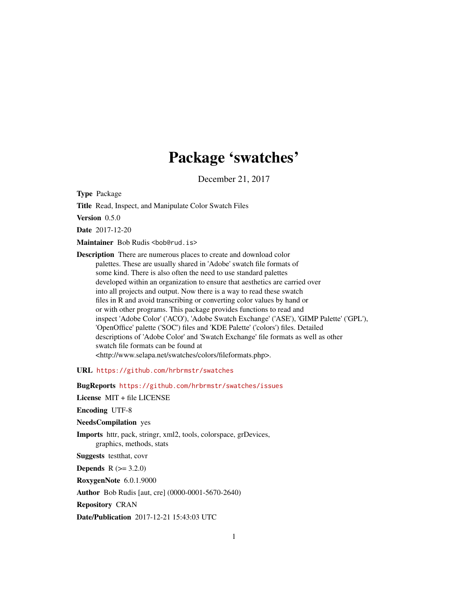## Package 'swatches'

December 21, 2017

Type Package

Title Read, Inspect, and Manipulate Color Swatch Files

Version 0.5.0

Date 2017-12-20

Maintainer Bob Rudis <br/>bob@rud.is>

Description There are numerous places to create and download color palettes. These are usually shared in 'Adobe' swatch file formats of some kind. There is also often the need to use standard palettes developed within an organization to ensure that aesthetics are carried over into all projects and output. Now there is a way to read these swatch files in R and avoid transcribing or converting color values by hand or or with other programs. This package provides functions to read and inspect 'Adobe Color' ('ACO'), 'Adobe Swatch Exchange' ('ASE'), 'GIMP Palette' ('GPL'), 'OpenOffice' palette ('SOC') files and 'KDE Palette' ('colors') files. Detailed descriptions of 'Adobe Color' and 'Swatch Exchange' file formats as well as other swatch file formats can be found at <http://www.selapa.net/swatches/colors/fileformats.php>.

URL <https://github.com/hrbrmstr/swatches>

BugReports <https://github.com/hrbrmstr/swatches/issues>

License MIT + file LICENSE

Encoding UTF-8

NeedsCompilation yes

Imports httr, pack, stringr, xml2, tools, colorspace, grDevices, graphics, methods, stats

Suggests testthat, covr

**Depends**  $R (= 3.2.0)$ 

RoxygenNote 6.0.1.9000

Author Bob Rudis [aut, cre] (0000-0001-5670-2640)

Repository CRAN

Date/Publication 2017-12-21 15:43:03 UTC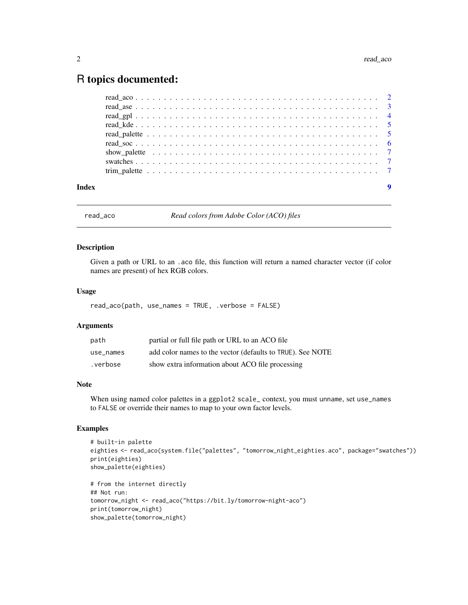### <span id="page-1-0"></span>R topics documented:

|       |  | show_palette $\ldots \ldots \ldots \ldots \ldots \ldots \ldots \ldots \ldots \ldots \ldots \ldots \ldots$ |
|-------|--|-----------------------------------------------------------------------------------------------------------|
|       |  |                                                                                                           |
|       |  |                                                                                                           |
|       |  |                                                                                                           |
| Index |  |                                                                                                           |

read\_aco *Read colors from Adobe Color (ACO) files*

#### **Description**

Given a path or URL to an .aco file, this function will return a named character vector (if color names are present) of hex RGB colors.

#### Usage

read\_aco(path, use\_names = TRUE, .verbose = FALSE)

#### Arguments

| path      | partial or full file path or URL to an ACO file            |
|-----------|------------------------------------------------------------|
| use names | add color names to the vector (defaults to TRUE). See NOTE |
| .verbose  | show extra information about ACO file processing           |

#### Note

When using named color palettes in a ggplot2 scale\_context, you must unname, set use\_names to FALSE or override their names to map to your own factor levels.

#### Examples

```
# built-in palette
eighties <- read_aco(system.file("palettes", "tomorrow_night_eighties.aco", package="swatches"))
print(eighties)
show_palette(eighties)
# from the internet directly
## Not run:
tomorrow_night <- read_aco("https://bit.ly/tomorrow-night-aco")
print(tomorrow_night)
show_palette(tomorrow_night)
```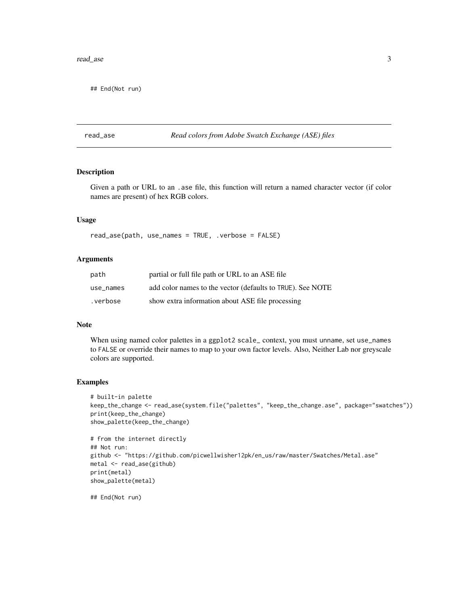#### <span id="page-2-0"></span>read\_ase 3

## End(Not run)

read\_ase *Read colors from Adobe Swatch Exchange (ASE) files*

#### Description

Given a path or URL to an .ase file, this function will return a named character vector (if color names are present) of hex RGB colors.

#### Usage

read\_ase(path, use\_names = TRUE, .verbose = FALSE)

#### Arguments

| path      | partial or full file path or URL to an ASE file            |
|-----------|------------------------------------------------------------|
| use names | add color names to the vector (defaults to TRUE). See NOTE |
| .verbose  | show extra information about ASE file processing           |

#### Note

When using named color palettes in a ggplot2 scale\_ context, you must unname, set use\_names to FALSE or override their names to map to your own factor levels. Also, Neither Lab nor greyscale colors are supported.

#### Examples

```
# built-in palette
keep_the_change <- read_ase(system.file("palettes", "keep_the_change.ase", package="swatches"))
print(keep_the_change)
show_palette(keep_the_change)
# from the internet directly
## Not run:
github <- "https://github.com/picwellwisher12pk/en_us/raw/master/Swatches/Metal.ase"
metal <- read_ase(github)
print(metal)
show_palette(metal)
```
## End(Not run)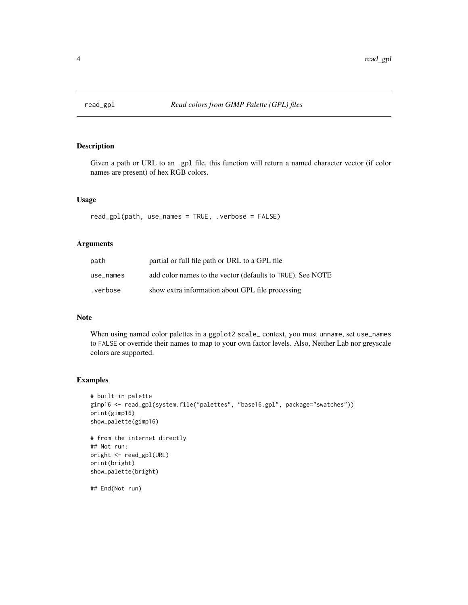<span id="page-3-0"></span>

#### Description

Given a path or URL to an .gpl file, this function will return a named character vector (if color names are present) of hex RGB colors.

#### Usage

read\_gpl(path, use\_names = TRUE, .verbose = FALSE)

#### Arguments

| path      | partial or full file path or URL to a GPL file             |
|-----------|------------------------------------------------------------|
| use names | add color names to the vector (defaults to TRUE). See NOTE |
| .verbose  | show extra information about GPL file processing           |

#### Note

When using named color palettes in a ggplot2 scale\_ context, you must unname, set use\_names to FALSE or override their names to map to your own factor levels. Also, Neither Lab nor greyscale colors are supported.

#### Examples

```
# built-in palette
gimp16 <- read_gpl(system.file("palettes", "base16.gpl", package="swatches"))
print(gimp16)
show_palette(gimp16)
```

```
# from the internet directly
## Not run:
bright <- read_gpl(URL)
print(bright)
show_palette(bright)
```
## End(Not run)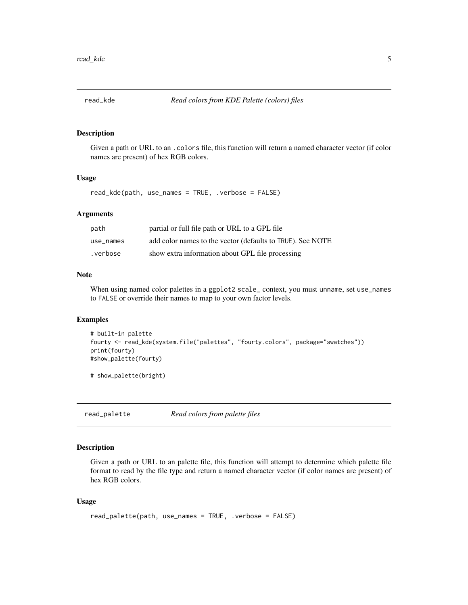<span id="page-4-0"></span>

#### Description

Given a path or URL to an .colors file, this function will return a named character vector (if color names are present) of hex RGB colors.

#### Usage

read\_kde(path, use\_names = TRUE, .verbose = FALSE)

#### Arguments

| path      | partial or full file path or URL to a GPL file             |
|-----------|------------------------------------------------------------|
| use names | add color names to the vector (defaults to TRUE). See NOTE |
| .verbose  | show extra information about GPL file processing           |

#### Note

When using named color palettes in a ggplot2 scale\_context, you must unname, set use\_names to FALSE or override their names to map to your own factor levels.

#### Examples

```
# built-in palette
fourty <- read_kde(system.file("palettes", "fourty.colors", package="swatches"))
print(fourty)
#show_palette(fourty)
```

```
# show_palette(bright)
```
read\_palette *Read colors from palette files*

#### Description

Given a path or URL to an palette file, this function will attempt to determine which palette file format to read by the file type and return a named character vector (if color names are present) of hex RGB colors.

#### Usage

```
read_palette(path, use_names = TRUE, .verbose = FALSE)
```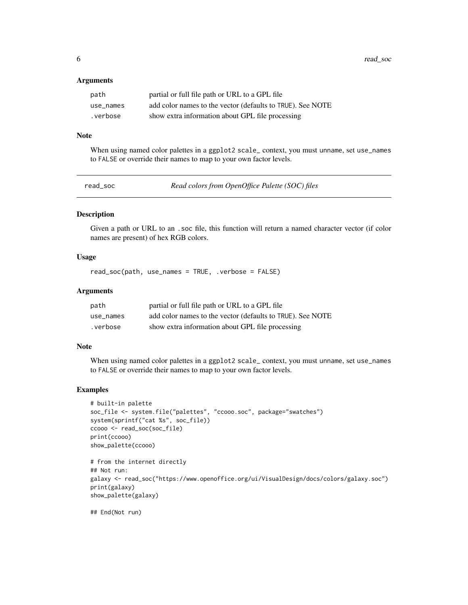#### <span id="page-5-0"></span>**Arguments**

| path      | partial or full file path or URL to a GPL file             |
|-----------|------------------------------------------------------------|
| use names | add color names to the vector (defaults to TRUE). See NOTE |
| .verbose  | show extra information about GPL file processing           |

#### Note

When using named color palettes in a ggplot2 scale\_ context, you must unname, set use\_names to FALSE or override their names to map to your own factor levels.

read\_soc *Read colors from OpenOffice Palette (SOC) files*

#### Description

Given a path or URL to an .soc file, this function will return a named character vector (if color names are present) of hex RGB colors.

#### Usage

read\_soc(path, use\_names = TRUE, .verbose = FALSE)

#### Arguments

| path      | partial or full file path or URL to a GPL file             |
|-----------|------------------------------------------------------------|
| use names | add color names to the vector (defaults to TRUE). See NOTE |
| .verbose. | show extra information about GPL file processing           |

#### Note

When using named color palettes in a ggplot2 scale\_context, you must unname, set use\_names to FALSE or override their names to map to your own factor levels.

#### Examples

```
# built-in palette
soc_file <- system.file("palettes", "ccooo.soc", package="swatches")
system(sprintf("cat %s", soc_file))
ccooo <- read_soc(soc_file)
print(ccooo)
show_palette(ccooo)
```

```
# from the internet directly
## Not run:
galaxy <- read_soc("https://www.openoffice.org/ui/VisualDesign/docs/colors/galaxy.soc")
print(galaxy)
show_palette(galaxy)
```
## End(Not run)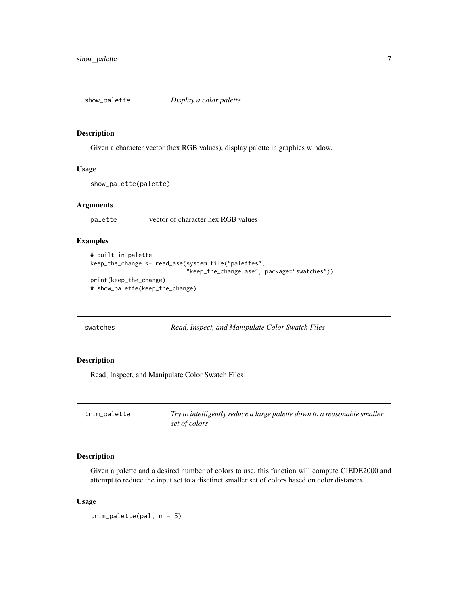<span id="page-6-0"></span>

#### Description

Given a character vector (hex RGB values), display palette in graphics window.

#### Usage

```
show_palette(palette)
```
#### Arguments

palette vector of character hex RGB values

#### Examples

```
# built-in palette
keep_the_change <- read_ase(system.file("palettes",
                            "keep_the_change.ase", package="swatches"))
print(keep_the_change)
# show_palette(keep_the_change)
```
swatches *Read, Inspect, and Manipulate Color Swatch Files*

#### Description

Read, Inspect, and Manipulate Color Swatch Files

| trim_palette | Try to intelligently reduce a large palette down to a reasonable smaller |
|--------------|--------------------------------------------------------------------------|
|              | set of colors                                                            |

#### Description

Given a palette and a desired number of colors to use, this function will compute CIEDE2000 and attempt to reduce the input set to a disctinct smaller set of colors based on color distances.

#### Usage

trim\_palette(pal, n = 5)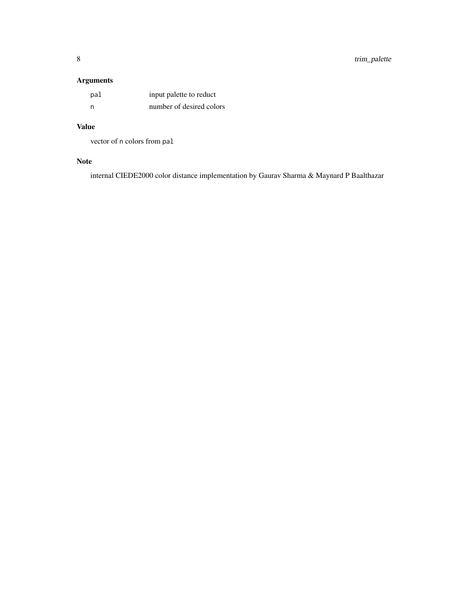#### Arguments

| pal | input palette to reduct  |
|-----|--------------------------|
| - n | number of desired colors |

#### Value

vector of n colors from pal

#### Note

internal CIEDE2000 color distance implementation by Gaurav Sharma & Maynard P Baalthazar